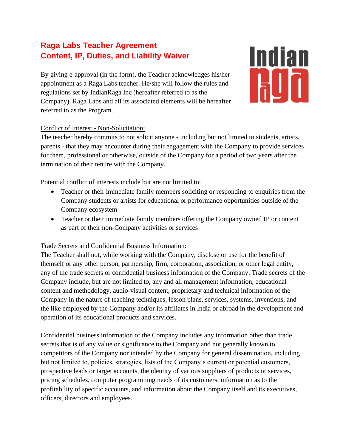# **Raga Labs Teacher Agreement Content, IP, Duties, and Liability Waiver**

By giving e-approval (in the form), the Teacher acknowledges his/her appointment as a Raga Labs teacher. He/she will follow the rules and regulations set by IndianRaga Inc (hereafter referred to as the Company). Raga Labs and all its associated elements will be hereafter referred to as the Program.



# Conflict of Interest - Non-Solicitation:

The teacher hereby commits to not solicit anyone - including but not limited to students, artists, parents - that they may encounter during their engagement with the Company to provide services for them, professional or otherwise, outside of the Company for a period of two years after the termination of their tenure with the Company.

# Potential conflict of interests include but are not limited to:

- Teacher or their immediate family members soliciting or responding to enquiries from the Company students or artists for educational or performance opportunities outside of the Company ecosystem
- Teacher or their immediate family members offering the Company owned IP or content as part of their non-Company activities or services

## Trade Secrets and Confidential Business Information:

The Teacher shall not, while working with the Company, disclose or use for the benefit of themself or any other person, partnership, firm, corporation, association, or other legal entity, any of the trade secrets or confidential business information of the Company. Trade secrets of the Company include, but are not limited to, any and all management information, educational content and methodology, audio-visual content, proprietary and technical information of the Company in the nature of teaching techniques, lesson plans, services, systems, inventions, and the like employed by the Company and/or its affiliates in India or abroad in the development and operation of its educational products and services.

Confidential business information of the Company includes any information other than trade secrets that is of any value or significance to the Company and not generally known to competitors of the Company nor intended by the Company for general dissemination, including but not limited to, policies, strategies, lists of the Company's current or potential customers, prospective leads or target accounts, the identity of various suppliers of products or services, pricing schedules, computer programming needs of its customers, information as to the profitability of specific accounts, and information about the Company itself and its executives, officers, directors and employees.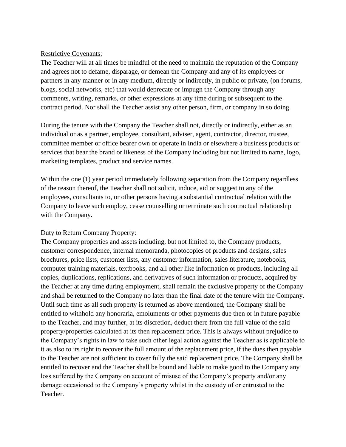#### Restrictive Covenants:

The Teacher will at all times be mindful of the need to maintain the reputation of the Company and agrees not to defame, disparage, or demean the Company and any of its employees or partners in any manner or in any medium, directly or indirectly, in public or private, (on forums, blogs, social networks, etc) that would deprecate or impugn the Company through any comments, writing, remarks, or other expressions at any time during or subsequent to the contract period. Nor shall the Teacher assist any other person, firm, or company in so doing.

During the tenure with the Company the Teacher shall not, directly or indirectly, either as an individual or as a partner, employee, consultant, adviser, agent, contractor, director, trustee, committee member or office bearer own or operate in India or elsewhere a business products or services that bear the brand or likeness of the Company including but not limited to name, logo, marketing templates, product and service names.

Within the one (1) year period immediately following separation from the Company regardless of the reason thereof, the Teacher shall not solicit, induce, aid or suggest to any of the employees, consultants to, or other persons having a substantial contractual relation with the Company to leave such employ, cease counselling or terminate such contractual relationship with the Company.

## Duty to Return Company Property:

The Company properties and assets including, but not limited to, the Company products, customer correspondence, internal memoranda, photocopies of products and designs, sales brochures, price lists, customer lists, any customer information, sales literature, notebooks, computer training materials, textbooks, and all other like information or products, including all copies, duplications, replications, and derivatives of such information or products, acquired by the Teacher at any time during employment, shall remain the exclusive property of the Company and shall be returned to the Company no later than the final date of the tenure with the Company. Until such time as all such property is returned as above mentioned, the Company shall be entitled to withhold any honoraria, emoluments or other payments due then or in future payable to the Teacher, and may further, at its discretion, deduct there from the full value of the said property/properties calculated at its then replacement price. This is always without prejudice to the Company's rights in law to take such other legal action against the Teacher as is applicable to it as also to its right to recover the full amount of the replacement price, if the dues then payable to the Teacher are not sufficient to cover fully the said replacement price. The Company shall be entitled to recover and the Teacher shall be bound and liable to make good to the Company any loss suffered by the Company on account of misuse of the Company's property and/or any damage occasioned to the Company's property whilst in the custody of or entrusted to the Teacher.